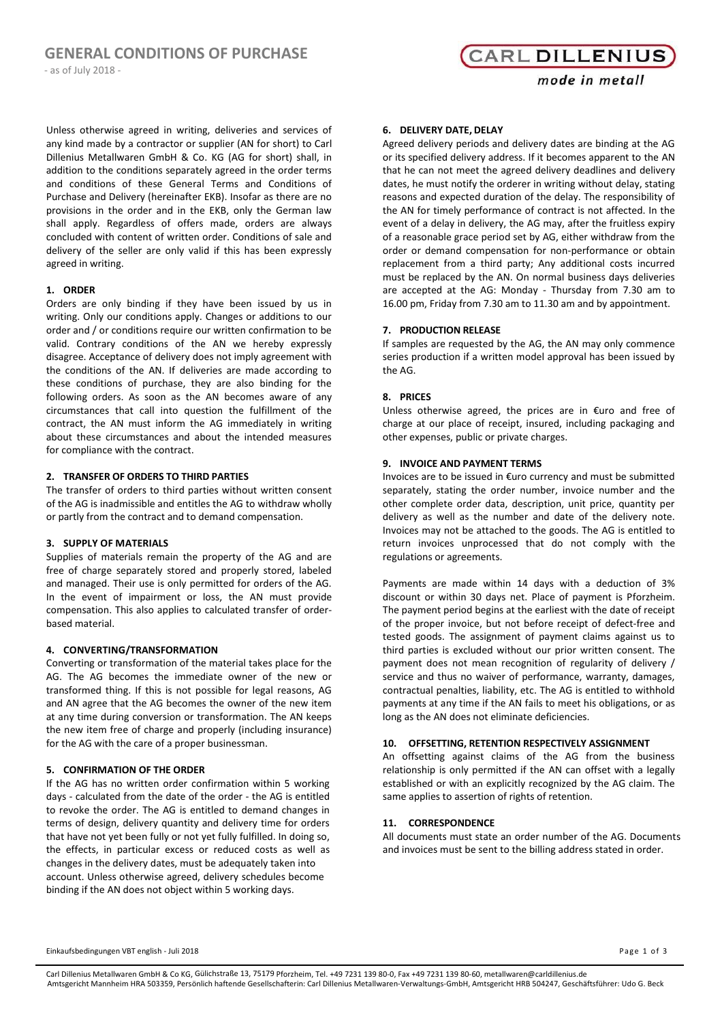‐ as of July 2018 ‐

**CARL DILLENIUS** 

mode in metall

Unless otherwise agreed in writing, deliveries and services of any kind made by a contractor or supplier (AN for short) to Carl Dillenius Metallwaren GmbH & Co. KG (AG for short) shall, in addition to the conditions separately agreed in the order terms and conditions of these General Terms and Conditions of Purchase and Delivery (hereinafter EKB). Insofar as there are no provisions in the order and in the EKB, only the German law shall apply. Regardless of offers made, orders are always concluded with content of written order. Conditions of sale and delivery of the seller are only valid if this has been expressly agreed in writing.

#### **1. ORDER**

Orders are only binding if they have been issued by us in writing. Only our conditions apply. Changes or additions to our order and / or conditions require our written confirmation to be valid. Contrary conditions of the AN we hereby expressly disagree. Acceptance of delivery does not imply agreement with the conditions of the AN. If deliveries are made according to these conditions of purchase, they are also binding for the following orders. As soon as the AN becomes aware of any circumstances that call into question the fulfillment of the contract, the AN must inform the AG immediately in writing about these circumstances and about the intended measures for compliance with the contract.

## **2. TRANSFER OF ORDERS TO THIRD PARTIES**

The transfer of orders to third parties without written consent of the AG is inadmissible and entitles the AG to withdraw wholly or partly from the contract and to demand compensation.

#### **3. SUPPLY OF MATERIALS**

Supplies of materials remain the property of the AG and are free of charge separately stored and properly stored, labeled and managed. Their use is only permitted for orders of the AG. In the event of impairment or loss, the AN must provide compensation. This also applies to calculated transfer of orderbased material.

#### **4. CONVERTING/TRANSFORMATION**

Converting or transformation of the material takes place for the AG. The AG becomes the immediate owner of the new or transformed thing. If this is not possible for legal reasons, AG and AN agree that the AG becomes the owner of the new item at any time during conversion or transformation. The AN keeps the new item free of charge and properly (including insurance) for the AG with the care of a proper businessman.

#### **5. CONFIRMATION OF THE ORDER**

If the AG has no written order confirmation within 5 working days - calculated from the date of the order - the AG is entitled to revoke the order. The AG is entitled to demand changes in terms of design, delivery quantity and delivery time for orders that have not yet been fully or not yet fully fulfilled. In doing so, the effects, in particular excess or reduced costs as well as changes in the delivery dates, must be adequately taken into account. Unless otherwise agreed, delivery schedules become binding if the AN does not object within 5 working days.

#### **6. DELIVERY DATE, DELAY**

Agreed delivery periods and delivery dates are binding at the AG or its specified delivery address. If it becomes apparent to the AN that he can not meet the agreed delivery deadlines and delivery dates, he must notify the orderer in writing without delay, stating reasons and expected duration of the delay. The responsibility of the AN for timely performance of contract is not affected. In the event of a delay in delivery, the AG may, after the fruitless expiry of a reasonable grace period set by AG, either withdraw from the order or demand compensation for non-performance or obtain replacement from a third party; Any additional costs incurred must be replaced by the AN. On normal business days deliveries are accepted at the AG: Monday - Thursday from 7.30 am to 16.00 pm, Friday from 7.30 am to 11.30 am and by appointment.

## **7. PRODUCTION RELEASE**

If samples are requested by the AG, the AN may only commence series production if a written model approval has been issued by the AG.

#### **8. PRICES**

Unless otherwise agreed, the prices are in €uro and free of charge at our place of receipt, insured, including packaging and other expenses, public or private charges.

#### **9. INVOICE AND PAYMENT TERMS**

Invoices are to be issued in €uro currency and must be submitted separately, stating the order number, invoice number and the other complete order data, description, unit price, quantity per delivery as well as the number and date of the delivery note. Invoices may not be attached to the goods. The AG is entitled to return invoices unprocessed that do not comply with the regulations or agreements.

Payments are made within 14 days with a deduction of 3% discount or within 30 days net. Place of payment is Pforzheim. The payment period begins at the earliest with the date of receipt of the proper invoice, but not before receipt of defect-free and tested goods. The assignment of payment claims against us to third parties is excluded without our prior written consent. The payment does not mean recognition of regularity of delivery / service and thus no waiver of performance, warranty, damages, contractual penalties, liability, etc. The AG is entitled to withhold payments at any time if the AN fails to meet his obligations, or as long as the AN does not eliminate deficiencies.

#### **10. OFFSETTING, RETENTION RESPECTIVELY ASSIGNMENT**

An offsetting against claims of the AG from the business relationship is only permitted if the AN can offset with a legally established or with an explicitly recognized by the AG claim. The same applies to assertion of rights of retention.

#### **11. CORRESPONDENCE**

All documents must state an order number of the AG. Documents and invoices must be sent to the billing address stated in order.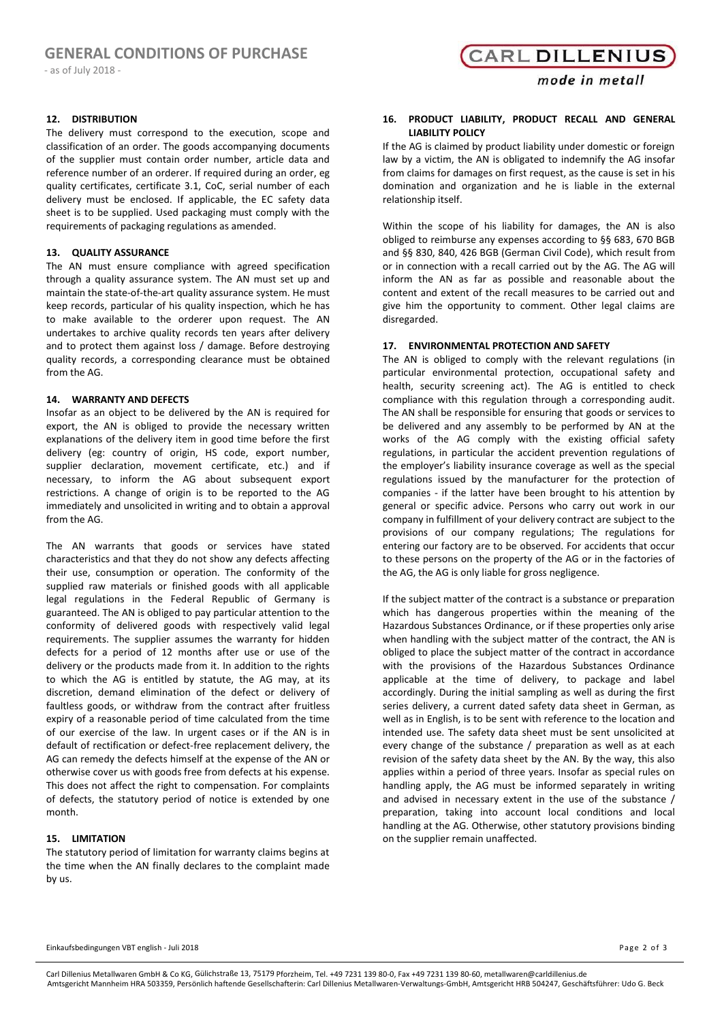‐ as of July 2018 ‐

#### **12. DISTRIBUTION**

The delivery must correspond to the execution, scope and classification of an order. The goods accompanying documents of the supplier must contain order number, article data and reference number of an orderer. If required during an order, eg quality certificates, certificate 3.1, CoC, serial number of each delivery must be enclosed. If applicable, the EC safety data sheet is to be supplied. Used packaging must comply with the requirements of packaging regulations as amended.

#### **13. QUALITY ASSURANCE**

The AN must ensure compliance with agreed specification through a quality assurance system. The AN must set up and maintain the state-of-the-art quality assurance system. He must keep records, particular of his quality inspection, which he has to make available to the orderer upon request. The AN undertakes to archive quality records ten years after delivery and to protect them against loss / damage. Before destroying quality records, a corresponding clearance must be obtained from the AG.

#### **14. WARRANTY AND DEFECTS**

Insofar as an object to be delivered by the AN is required for export, the AN is obliged to provide the necessary written explanations of the delivery item in good time before the first delivery (eg: country of origin, HS code, export number, supplier declaration, movement certificate, etc.) and if necessary, to inform the AG about subsequent export restrictions. A change of origin is to be reported to the AG immediately and unsolicited in writing and to obtain a approval from the AG.

The AN warrants that goods or services have stated characteristics and that they do not show any defects affecting their use, consumption or operation. The conformity of the supplied raw materials or finished goods with all applicable legal regulations in the Federal Republic of Germany is guaranteed. The AN is obliged to pay particular attention to the conformity of delivered goods with respectively valid legal requirements. The supplier assumes the warranty for hidden defects for a period of 12 months after use or use of the delivery or the products made from it. In addition to the rights to which the AG is entitled by statute, the AG may, at its discretion, demand elimination of the defect or delivery of faultless goods, or withdraw from the contract after fruitless expiry of a reasonable period of time calculated from the time of our exercise of the law. In urgent cases or if the AN is in default of rectification or defect-free replacement delivery, the AG can remedy the defects himself at the expense of the AN or otherwise cover us with goods free from defects at his expense. This does not affect the right to compensation. For complaints of defects, the statutory period of notice is extended by one month.

#### **15. LIMITATION**

The statutory period of limitation for warranty claims begins at the time when the AN finally declares to the complaint made by us.

**CARL DILLENIUS** 

#### **16. PRODUCT LIABILITY, PRODUCT RECALL AND GENERAL LIABILITY POLICY**

If the AG is claimed by product liability under domestic or foreign law by a victim, the AN is obligated to indemnify the AG insofar from claims for damages on first request, as the cause is set in his domination and organization and he is liable in the external relationship itself.

Within the scope of his liability for damages, the AN is also obliged to reimburse any expenses according to §§ 683, 670 BGB and §§ 830, 840, 426 BGB (German Civil Code), which result from or in connection with a recall carried out by the AG. The AG will inform the AN as far as possible and reasonable about the content and extent of the recall measures to be carried out and give him the opportunity to comment. Other legal claims are disregarded.

#### **17. ENVIRONMENTAL PROTECTION AND SAFETY**

The AN is obliged to comply with the relevant regulations (in particular environmental protection, occupational safety and health, security screening act). The AG is entitled to check compliance with this regulation through a corresponding audit. The AN shall be responsible for ensuring that goods or services to be delivered and any assembly to be performed by AN at the works of the AG comply with the existing official safety regulations, in particular the accident prevention regulations of the employer's liability insurance coverage as well as the special regulations issued by the manufacturer for the protection of companies - if the latter have been brought to his attention by general or specific advice. Persons who carry out work in our company in fulfillment of your delivery contract are subject to the provisions of our company regulations; The regulations for entering our factory are to be observed. For accidents that occur to these persons on the property of the AG or in the factories of the AG, the AG is only liable for gross negligence.

If the subject matter of the contract is a substance or preparation which has dangerous properties within the meaning of the Hazardous Substances Ordinance, or if these properties only arise when handling with the subject matter of the contract, the AN is obliged to place the subject matter of the contract in accordance with the provisions of the Hazardous Substances Ordinance applicable at the time of delivery, to package and label accordingly. During the initial sampling as well as during the first series delivery, a current dated safety data sheet in German, as well as in English, is to be sent with reference to the location and intended use. The safety data sheet must be sent unsolicited at every change of the substance / preparation as well as at each revision of the safety data sheet by the AN. By the way, this also applies within a period of three years. Insofar as special rules on handling apply, the AG must be informed separately in writing and advised in necessary extent in the use of the substance / preparation, taking into account local conditions and local handling at the AG. Otherwise, other statutory provisions binding on the supplier remain unaffected.